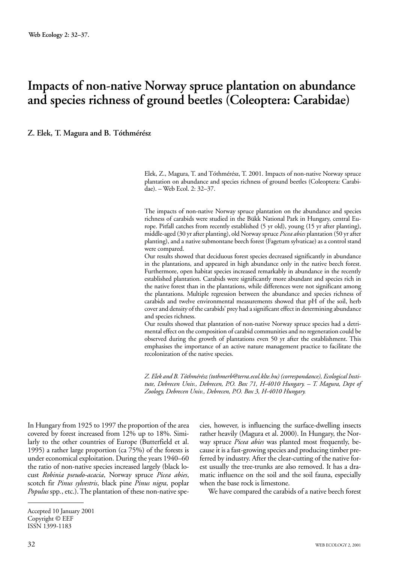# **Impacts of non-native Norway spruce plantation on abundance and species richness of ground beetles (Coleoptera: Carabidae)**

**Z. Elek, T. Magura and B. Tóthmérész**

Elek, Z., Magura, T. and Tóthmérész, T. 2001. Impacts of non-native Norway spruce plantation on abundance and species richness of ground beetles (Coleoptera: Carabidae). – Web Ecol. 2: 32–37.

The impacts of non-native Norway spruce plantation on the abundance and species richness of carabids were studied in the Bükk National Park in Hungary, central Europe. Pitfall catches from recently established (5 yr old), young (15 yr after planting), middle-aged (30 yr after planting), old Norway spruce *Picea abies* plantation (50 yr after planting), and a native submontane beech forest (Fagetum sylvaticae) as a control stand were compared.

Our results showed that deciduous forest species decreased significantly in abundance in the plantations, and appeared in high abundance only in the native beech forest. Furthermore, open habitat species increased remarkably in abundance in the recently established plantation. Carabids were significantly more abundant and species rich in the native forest than in the plantations, while differences were not significant among the plantations. Multiple regression between the abundance and species richness of carabids and twelve environmental measurements showed that pH of the soil, herb cover and density of the carabids' prey had a significant effect in determining abundance and species richness.

Our results showed that plantation of non-native Norway spruce species had a detrimental effect on the composition of carabid communities and no regeneration could be observed during the growth of plantations even 50 yr after the establishment. This emphasises the importance of an active nature management practice to facilitate the recolonization of the native species.

*Z. Elek and B. Tóthmérész (tothmerb@terra.ecol.klte.hu) (correspondance), Ecological Institute, Debrecen Univ., Debrecen, P.O. Box 71, H-4010 Hungary. – T. Magura, Dept of Zoology, Debrecen Univ., Debrecen, P.O. Box 3, H-4010 Hungary.*

In Hungary from 1925 to 1997 the proportion of the area covered by forest increased from 12% up to 18%. Similarly to the other countries of Europe (Butterfield et al. 1995) a rather large proportion (ca 75%) of the forests is under economical exploitation. During the years 1940–60 the ratio of non-native species increased largely (black locust *Robinia pseudo-acacia*, Norway spruce *Picea abies*, scotch fir *Pinus sylvestris*, black pine *Pinus nigra*, poplar *Populus* spp*.*, etc.). The plantation of these non-native species, however, is influencing the surface-dwelling insects rather heavily (Magura et al. 2000). In Hungary, the Norway spruce *Picea abies* was planted most frequently, because it is a fast-growing species and producing timber preferred by industry. After the clear-cutting of the native forest usually the tree-trunks are also removed. It has a dramatic influence on the soil and the soil fauna, especially when the base rock is limestone.

We have compared the carabids of a native beech forest

Accepted 10 January 2001 Copyright © EEF ISSN 1399-1183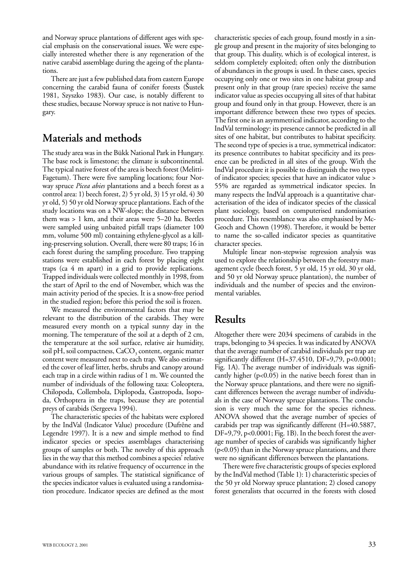and Norway spruce plantations of different ages with special emphasis on the conservational issues. We were especially interested whether there is any regeneration of the native carabid assemblage during the ageing of the plantations.

There are just a few published data from eastern Europe concerning the carabid fauna of conifer forests (Šustek 1981, Szyszko 1983). Our case, is notably different to these studies, because Norway spruce is not native to Hungary.

## **Materials and methods**

The study area was in the Bükk National Park in Hungary. The base rock is limestone; the climate is subcontinental. The typical native forest of the area is beech forest (Melitti-Fagetum). There were five sampling locations; four Norway spruce *Picea abies* plantations and a beech forest as a control area: 1) beech forest, 2) 5 yr old, 3) 15 yr old, 4) 30 yr old, 5) 50 yr old Norway spruce plantations. Each of the study locations was on a NW-slope; the distance between them was > 1 km, and their areas were 5–20 ha. Beetles were sampled using unbaited pitfall traps (diameter 100 mm, volume 500 ml) containing ethylene-glycol as a killing-preserving solution. Overall, there were 80 traps; 16 in each forest during the sampling procedure. Two trapping stations were established in each forest by placing eight traps (ca 4 m apart) in a grid to provide replications. Trapped individuals were collected monthly in 1998, from the start of April to the end of November, which was the main activity period of the species. It is a snow-free period in the studied region; before this period the soil is frozen.

We measured the environmental factors that may be relevant to the distribution of the carabids. They were measured every month on a typical sunny day in the morning. The temperature of the soil at a depth of 2 cm, the temperature at the soil surface, relative air humidity, soil pH, soil compactness, CaCO<sub>3</sub> content, organic matter content were measured next to each trap. We also estimated the cover of leaf litter, herbs, shrubs and canopy around each trap in a circle within radius of 1 m. We counted the number of individuals of the following taxa: Coleoptera, Chilopoda, Collembola, Diplopoda, Gastropoda, Isopoda, Orthoptera in the traps, because they are potential preys of carabids (Sergeeva 1994).

The characteristic species of the habitats were explored by the IndVal (Indicator Value) procedure (Dufrêne and Legendre 1997). It is a new and simple method to find indicator species or species assemblages characterising groups of samples or both. The novelty of this approach lies in the way that this method combines a species' relative abundance with its relative frequency of occurrence in the various groups of samples. The statistical significance of the species indicator values is evaluated using a randomisation procedure. Indicator species are defined as the most

characteristic species of each group, found mostly in a single group and present in the majority of sites belonging to that group. This duality, which is of ecological interest, is seldom completely exploited; often only the distribution of abundances in the groups is used. In these cases, species occupying only one or two sites in one habitat group and present only in that group (rare species) receive the same indicator value as species occupying all sites of that habitat group and found only in that group. However, there is an important difference between these two types of species. The first one is an asymmetrical indicator, according to the IndVal terminology: its presence cannot be predicted in all sites of one habitat, but contributes to habitat specificity. The second type of species is a true, symmetrical indicator: its presence contributes to habitat specificity and its presence can be predicted in all sites of the group. With the IndVal procedure it is possible to distinguish the two types of indicator species; species that have an indicator value > 55% are regarded as symmetrical indicator species. In many respects the IndVal approach is a quantitative characterisation of the idea of indicator species of the classical plant sociology, based on computerised randomisation procedure. This resemblance was also emphasised by Mc-Geoch and Chown (1998). Therefore, it would be better to name the so-called indicator species as quantitative character species.

Multiple linear non-stepwise regression analysis was used to explore the relationship between the forestry management cycle (beech forest, 5 yr old, 15 yr old, 30 yr old, and 50 yr old Norway spruce plantation), the number of individuals and the number of species and the environmental variables.

## **Results**

Altogether there were 2034 specimens of carabids in the traps, belonging to 34 species. It was indicated by ANOVA that the average number of carabid individuals per trap are significantly different (H=37.4510, DF=9,79, p<0.0001; Fig. 1A). The average number of individuals was significantly higher (p<0.05) in the native beech forest than in the Norway spruce plantations, and there were no significant differences between the average number of individuals in the case of Norway spruce plantations. The conclusion is very much the same for the species richness. ANOVA showed that the average number of species of carabids per trap was significantly different (H=40.5887, DF=9,79, p<0.0001; Fig. 1B). In the beech forest the average number of species of carabids was significantly higher (p<0.05) than in the Norway spruce plantations, and there were no significant differences between the plantations.

There were five characteristic groups of species explored by the IndVal method (Table 1): 1) characteristic species of the 50 yr old Norway spruce plantation; 2) closed canopy forest generalists that occurred in the forests with closed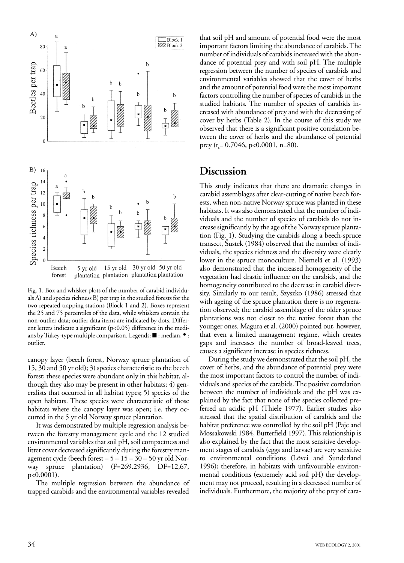

Fig. 1. Box and whisker plots of the number of carabid individuals A) and species richness B) per trap in the studied forests for the two repeated trapping stations (Block 1 and 2). Boxes represent the 25 and 75 percentiles of the data, while whiskers contain the non-outlier data; outlier data items are indicated by dots. Different letters indicate a significant (p<0.05) difference in the medians by Tukey-type multiple comparison. Legends: ■ : median, •: outlier.

canopy layer (beech forest, Norway spruce plantation of 15, 30 and 50 yr old); 3) species characteristic to the beech forest; these species were abundant only in this habitat, although they also may be present in other habitats; 4) generalists that occurred in all habitat types; 5) species of the open habitats. These species were characteristic of those habitats where the canopy layer was open; i.e. they occurred in the 5 yr old Norway spruce plantation.

It was demonstrated by multiple regression analysis between the forestry management cycle and the 12 studied environmental variables that soil pH, soil compactness and litter cover decreased significantly during the forestry management cycle (beech forest  $-5 - 15 - 30 - 50$  yr old Norway spruce plantation) (F=269.2936, DF=12,67, p<0.0001).

The multiple regression between the abundance of trapped carabids and the environmental variables revealed

that soil pH and amount of potential food were the most important factors limiting the abundance of carabids. The number of individuals of carabids increased with the abundance of potential prey and with soil pH. The multiple regression between the number of species of carabids and environmental variables showed that the cover of herbs and the amount of potential food were the most important factors controlling the number of species of carabids in the studied habitats. The number of species of carabids increased with abundance of prey and with the decreasing of cover by herbs (Table 2). In the course of this study we observed that there is a significant positive correlation between the cover of herbs and the abundance of potential prey ( $r_s$ = 0.7046, p<0.0001, n=80).

#### **Discussion**

This study indicates that there are dramatic changes in carabid assemblages after clear-cutting of native beech forests, when non-native Norway spruce was planted in these habitats. It was also demonstrated that the number of individuals and the number of species of carabids do not increase significantly by the age of the Norway spruce plantation (Fig. 1). Studying the carabids along a beech-spruce transect, Šustek (1984) observed that the number of individuals, the species richness and the diversity were clearly lower in the spruce monoculture. Niemelä et al. (1993) also demonstrated that the increased homogeneity of the vegetation had drastic influence on the carabids, and the homogeneity contributed to the decrease in carabid diversity. Similarly to our result, Szyszko (1986) stressed that with ageing of the spruce plantation there is no regeneration observed; the carabid assemblage of the older spruce plantations was not closer to the native forest than the younger ones. Magura et al. (2000) pointed out, however, that even a limited management regime, which creates gaps and increases the number of broad-leaved trees, causes a significant increase in species richness.

During the study we demonstrated that the soil pH, the cover of herbs, and the abundance of potential prey were the most important factors to control the number of individuals and species of the carabids. The positive correlation between the number of individuals and the pH was explained by the fact that none of the species collected preferred an acidic pH (Thiele 1977). Earlier studies also stressed that the spatial distribution of carabids and the habitat preference was controlled by the soil pH (Paje and Mossakowski 1984, Butterfield 1997). This relationship is also explained by the fact that the most sensitive development stages of carabids (eggs and larvae) are very sensitive to environmental conditions (Lövei and Sunderland 1996); therefore, in habitats with unfavourable environmental conditions (extremely acid soil pH) the development may not proceed, resulting in a decreased number of individuals. Furthermore, the majority of the prey of cara-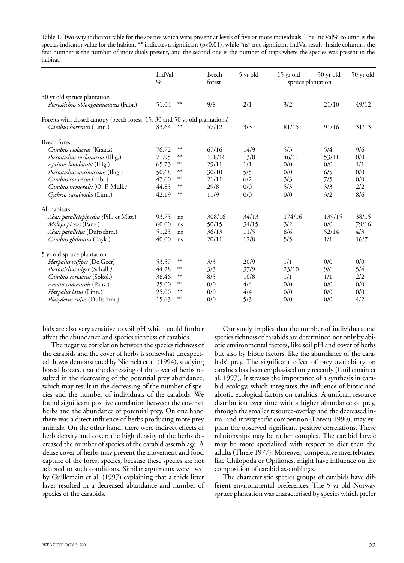Table 1. Two-way indicator table for the species which were present at levels of five or more individuals. The IndVal% column is the species indicator value for the habitat. \*\* indicates a significant (p<0.01), while "ns" not significant IndVal result. Inside columns, the first number is the number of individuals present, and the second one is the number of traps where the species was present in the habitat.

|                                                                             | IndVal<br>$\%$ |       | Beech<br>forest | 5 yr old | 15 yr old<br>spruce plantation | 30 yr old | 50 yr old |
|-----------------------------------------------------------------------------|----------------|-------|-----------------|----------|--------------------------------|-----------|-----------|
| 50 yr old spruce plantation                                                 |                |       |                 |          |                                |           |           |
| Pterostichus oblongopunctatus (Fabr.)                                       | 51.04          | $***$ | 9/8             | 2/1      | 3/2                            | 21/10     | 49/12     |
| Forests with closed canopy (beech forest, 15, 30 and 50 yr old plantations) |                |       |                 |          |                                |           |           |
| <i>Carabus hortensis</i> (Linn.)                                            | 83.64          | $**$  | 57/12           | 3/3      | 81/15                          | 91/16     | 31/13     |
| Beech forest                                                                |                |       |                 |          |                                |           |           |
| Carabus violaceus (Kraatz)                                                  | 76.72          | $**$  | 67/16           | 14/9     | 5/3                            | 5/4       | 9/6       |
| Pterostichus melanarius (Illig.)                                            | 71.95          | $***$ | 118/16          | 13/8     | 46/11                          | 53/11     | 0/0       |
| Aptinus bombarda (Illig.)                                                   | 65.73          | **    | 29/11           | 1/1      | 0/0                            | 0/0       | 1/1       |
| Pterostichus anthracinus (Illig.)                                           | 50.68          | $***$ | 30/10           | 5/5      | 0/0                            | 6/5       | 0/0       |
| Carabus convexus (Fabr.)                                                    | 47.60          | $***$ | 21/11           | 6/2      | 3/3                            | 7/5       | 0/0       |
| Carabus nemoralis (O. F. Müll.)                                             | 44.85          | $**$  | 29/8            | 0/0      | 5/3                            | 3/3       | 2/2       |
| Cychrus caraboides (Linn.)                                                  | 42.19          | $***$ | 11/9            | 0/0      | 0/0                            | 3/2       | 8/6       |
| All habitats                                                                |                |       |                 |          |                                |           |           |
| <i>Abax parallelepipedus</i> (Pill. et Mitt.)                               | 93.75          | ns    | 308/16          | 34/13    | 174/16                         | 139/15    | 38/15     |
| Molops piceus (Panz.)                                                       | 60.00          | ns    | 50/15           | 34/15    | 3/2                            | 0/0       | 79/16     |
| Abax parallelus (Duftschm.)                                                 | 51.25          | ns    | 36/13           | 11/5     | 8/6                            | 52/14     | 4/3       |
| Carabus glabratus (Payk.)                                                   | 40.00          | ns    | 20/11           | 12/8     | 5/5                            | 1/1       | 16/7      |
| 5 yr old spruce plantation                                                  |                |       |                 |          |                                |           |           |
| Harpalus rufipes (De Geer)                                                  | 53.57          | $***$ | 3/3             | 20/9     | 1/1                            | 0/0       | 0/0       |
| Pterostichus niger (Schall.)                                                | 44.28          | $***$ | 3/3             | 37/9     | 23/10                          | 9/6       | 5/4       |
| Carabus coriaceus (Sokol.)                                                  | 38.46          | $**$  | 8/5             | 10/8     | 1/1                            | 1/1       | 2/2       |
| Amara communis (Panz.)                                                      | 25.00          | $***$ | 0/0             | 4/4      | 0/0                            | 0/0       | 0/0       |
| <i>Harpalus latus</i> (Linn.)                                               | 25.00          | $***$ | 0/0             | 4/4      | 0/0                            | 0/0       | 0/0       |
| Platyderus rufus (Duftschm.)                                                | 15.63          | $***$ | 0/0             | 5/3      | 0/0                            | 0/0       | 4/2       |

bids are also very sensitive to soil pH which could further affect the abundance and species richness of carabids.

The negative correlation between the species richness of the carabids and the cover of herbs is somewhat unexpected. It was demonstrated by Niemelä et al. (1994), studying boreal forests, that the decreasing of the cover of herbs resulted in the decreasing of the potential prey abundance, which may result in the decreasing of the number of species and the number of individuals of the carabids. We found significant positive correlation between the cover of herbs and the abundance of potential prey. On one hand there was a direct influence of herbs producing more prey animals. On the other hand, there were indirect effects of herb density and cover: the high density of the herbs decreased the number of species of the carabid assemblage. A dense cover of herbs may prevent the movement and food capture of the forest species, because these species are not adapted to such conditions. Similar arguments were used by Guillemain et al. (1997) explaining that a thick litter layer resulted in a decreased abundance and number of species of the carabids.

Our study implies that the number of individuals and species richness of carabids are determined not only by abiotic environmental factors, like soil pH and cover of herbs but also by biotic factors, like the abundance of the carabids' prey. The significant effect of prey availability on carabids has been emphasised only recently (Guillemain et al. 1997). It stresses the importance of a synthesis in carabid ecology, which integrates the influence of biotic and abiotic ecological factors on carabids. A uniform resource distribution over time with a higher abundance of prey, through the smaller resource-overlap and the decreased intra- and interspecific competition (Loreau 1990), may explain the observed significant positive correlations. These relationships may be rather complex. The carabid larvae may be more specialized with respect to diet than the adults (Thiele 1977). Moreover, competitive invertebrates, like Chilopoda or Opiliones, might have influence on the composition of carabid assemblages.

The characteristic species groups of carabids have different environmental preferences. The 5 yr old Norway spruce plantation was characterised by species which prefer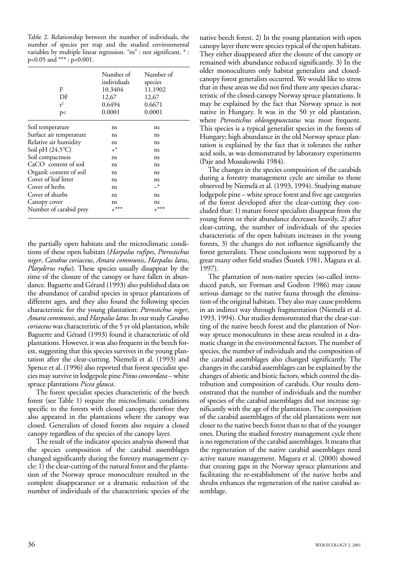Table 2. Relationship between the number of individuals, the number of species per trap and the studied environmental variables by multiple linear regression. "ns" : not significant, \* : p<0.05 and \*\*\* : p<0.001.

| F                         | Number of<br>individuals | Number of<br>species |
|---------------------------|--------------------------|----------------------|
|                           | 10.3404                  | 11.1902              |
| DF                        | 12,67                    | 12,67                |
| $r^2$                     | 0.6494                   | 0.6671               |
| p<                        | 0.0001                   | 0.0001               |
| Soil temperature          | ns                       | ns                   |
| Surface air temperature   | ns                       | ns                   |
| Relative air humidity     | ns                       | ns                   |
| Soil pH $(24.5^{\circ}C)$ | $+^*$                    | ns                   |
| Soil compactness          | ns                       | ns                   |
| CaCO content of soil      | ns                       | ns                   |
| Organic content of soil   | ns                       | ns                   |
| Cover of leaf litter      | ns                       | ns                   |
| Cover of herbs            | ns                       | _*                   |
| Cover of shurbs           | ns                       | ns                   |
| Canopy cover              | ns                       | ns                   |
| Number of carabid prey    | $+***$                   | $+***$               |

the partially open habitats and the microclimatic conditions of these open habitats (*Harpalus rufipes*, *Pterostichus niger*, *Carabus coriaceus*, *Amara communis*, *Harpalus latus*, *Platyderus rufus*). These species usually disappear by the time of the closure of the canopy or have fallen in abundance. Baguette and Gérard (1993) also published data on the abundance of carabid species in spruce plantations of different ages, and they also found the following species characteristic for the young plantation: *Pterostichus niger*, *Amara communis*, and *Harpalus latus*. In our study *Carabus coriaceus* was characteristic of the 5 yr old plantation, while Baguette and Gérard (1993) found it characteristic of old plantations. However, it was also frequent in the beech forest, suggesting that this species survives in the young plantation after the clear-cutting. Niemelä et al. (1993) and Spence et al. (1996) also reported that forest specialist species may survive in lodgepole pine *Pinus concordata* – white spruce plantations *Picea glauca*.

The forest specialist species characteristic of the beech forest (see Table 1) require the microclimatic conditions specific to the forests with closed canopy, therefore they also appeared in the plantations where the canopy was closed. Generalists of closed forests also require a closed canopy regardless of the species of the canopy layer.

The result of the indicator species analysis showed that the species composition of the carabid assemblages changed significantly during the forestry management cycle: 1) the clear-cutting of the natural forest and the plantation of the Norway spruce monoculture resulted in the complete disappearance or a dramatic reduction of the number of individuals of the characteristic species of the

native beech forest. 2) In the young plantation with open canopy layer there were species typical of the open habitats. They either disappeared after the closure of the canopy or remained with abundance reduced significantly. 3) In the older monocultures only habitat generalists and closedcanopy forest generalists occurred. We would like to stress that in these areas we did not find there any species characteristic of the closed-canopy Norway spruce plantations. It may be explained by the fact that Norway spruce is not native in Hungary. It was in the 50 yr old plantation, where *Pterostichus oblongopunctatus* was most frequent. This species is a typical generalist species in the forests of Hungary; high abundance in the old Norway spruce plantation is explained by the fact that it tolerates the rather acid soils, as was demonstrated by laboratory experiments (Paje and Mossakowski 1984).

The changes in the species composition of the carabids during a forestry management cycle are similar to those observed by Niemelä et al. (1993, 1994). Studying mature lodgepole pine – white spruce forest and five age categories of the forest developed after the clear-cutting they concluded that: 1) mature forest specialists disappear from the young forest or their abundance decreases heavily, 2) after clear-cutting, the number of individuals of the species characteristic of the open habitats increases in the young forests, 3) the changes do not influence significantly the forest generalists. These conclusions were supported by a great many other field studies (Šustek 1981, Magura et al. 1997).

The plantation of non-native species (so-called introduced patch, see Forman and Godron 1986) may cause serious damage to the native fauna through the elimination of the original habitats. They also may cause problems in an indirect way through fragmentation (Niemelä et al. 1993, 1994). Our studies demonstrated that the clear-cutting of the native beech forest and the plantation of Norway spruce monocultures in these areas resulted in a dramatic change in the environmental factors. The number of species, the number of individuals and the composition of the carabid assemblages also changed significantly. The changes in the carabid assemblages can be explained by the changes of abiotic and biotic factors, which control the distribution and composition of carabids. Our results demonstrated that the number of individuals and the number of species of the carabid assemblages did not increase significantly with the age of the plantation. The composition of the carabid assemblages of the old plantations were not closer to the native beech forest than to that of the younger ones. During the studied forestry management cycle there is no regeneration of the carabid assemblages. It means that the regeneration of the native carabid assemblages need active nature management. Magura et al. (2000) showed that creating gaps in the Norway spruce plantations and facilitating the re-establishment of the native herbs and shrubs enhances the regeneration of the native carabid assemblage.